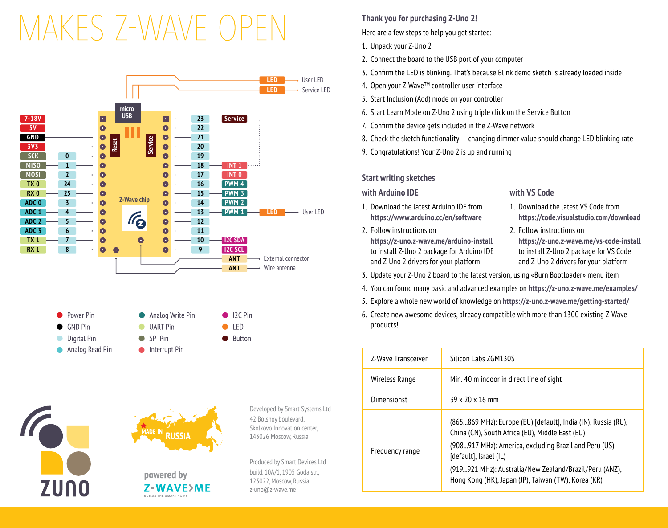# MAKES 7-WAVE OP



**ZUNO** 



powered by Z-WAVE>ME **BUILDS THE CMART HOM** 

Developed by Smart Systems Ltd 42 Bolshoy boulevard, Skolkovo Innovation center, 143026 Moscow, Russia

Produced by Smart Devices Ltd build. 10А/1, 1905 Goda str., 123022, Moscow, Russia z-uno@z-wave.me

# **Thank you for purchasing Z-Uno 2!**

Here are a few steps to help you get started:

- 1. Unpack your Z-Uno 2
- 2. Connect the board to the USB port of your computer
- 3. Confirm the LED is blinking. That's because Blink demo sketch is already loaded inside
- 4. Open your Z-Wave™ controller user interface
- 5. Start Inclusion (Add) mode on your controller
- 6. Start Learn Mode on Z-Uno 2 using triple click on the Service Button
- 7. Confirm the device gets included in the Z-Wave network
- 8. Check the sketch functionality changing dimmer value should change LED blinking rate
- 9. Congratulations! Your Z-Uno 2 is up and running

# **Start writing sketches**

## 1. Download the latest Arduino IDE from **https://www.arduino.cc/en/software**

2. Follow instructions on **https://z-uno.z-wave.me/arduino-install** to install Z-Uno 2 package for Arduino IDE and Z-Uno 2 drivers for your platform

# **with Arduino IDE with VS Code**

- 1. Download the latest VS Code from **https://code.visualstudio.com/download**
- 2. Follow instructions on **https://z-uno.z-wave.me/vs-code-install** to install Z-Uno 2 package for VS Code and Z-Uno 2 drivers for your platform
- 3. Update your Z-Uno 2 board to the latest version, using «Burn Bootloader» menu item
- 4. You can found many basic and advanced examples on **https://z-uno.z-wave.me/examples/**
- 5. Explore a whole new world of knowledge on **https://z-uno.z-wave.me/getting-started/**
- 6. Create new awesome devices, already compatible with more than 1300 existing Z-Wave products!

| Z-Wave Transceiver | Silicon Labs ZGM130S                                                                                             |
|--------------------|------------------------------------------------------------------------------------------------------------------|
| Wireless Range     | Min. 40 m indoor in direct line of sight                                                                         |
| Dimensionst        | 39 x 20 x 16 mm                                                                                                  |
| Frequency range    | (865869 MHz): Europe (EU) [default], India (IN), Russia (RU),<br>China (CN), South Africa (EU), Middle East (EU) |
|                    | (908917 MHz): America, excluding Brazil and Peru (US)<br>[default], Israel (IL)                                  |
|                    | (919921 MHz): Australia/New Zealand/Brazil/Peru (ANZ),<br>Hong Kong (HK), Japan (JP), Taiwan (TW), Korea (KR)    |